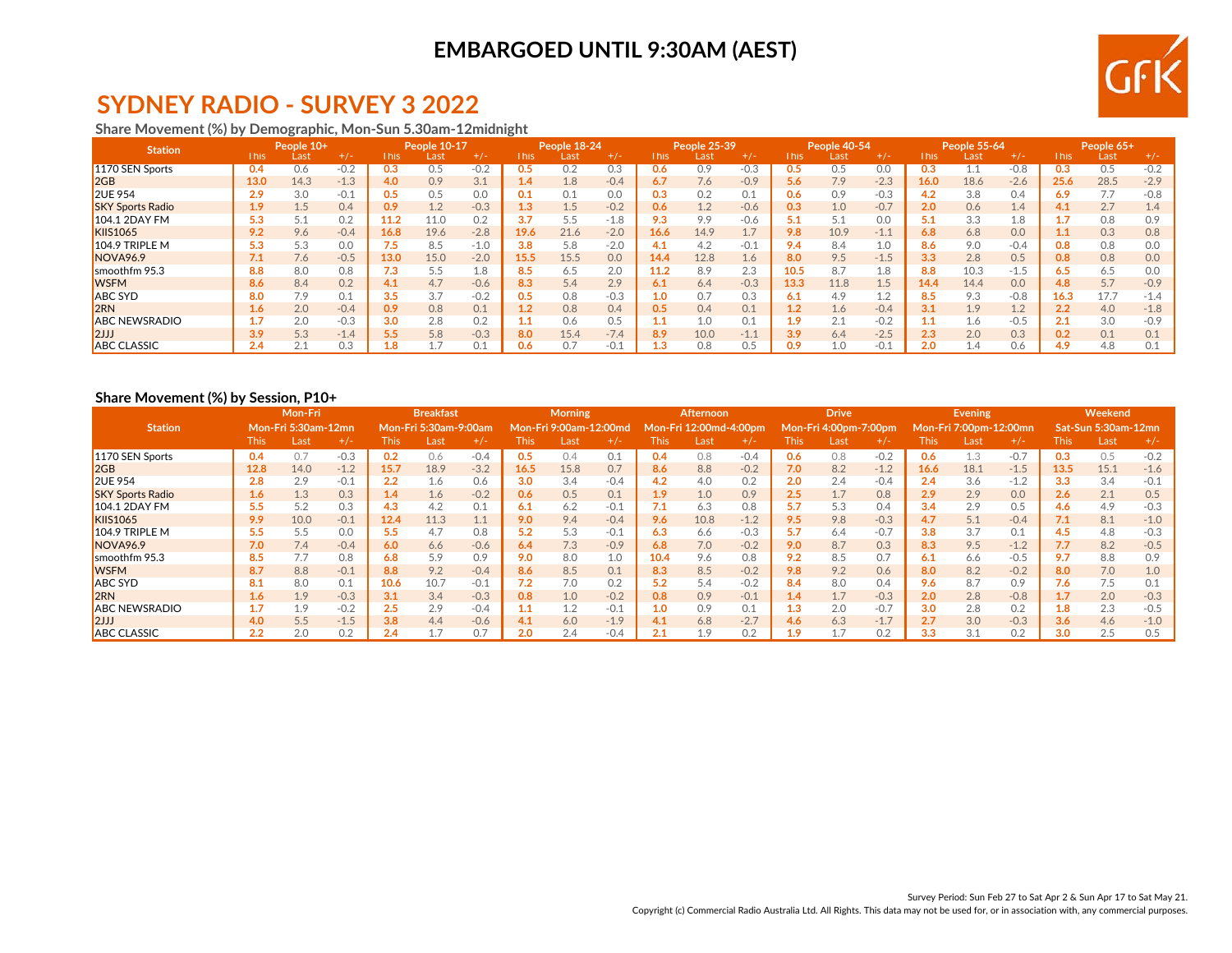

# **SYDNEY RADIO - SURVEY 3 2022**

#### **Share Movement (%) by Demographic, Mon-Sun 5.30am-12midnight**

| <b>Station</b>          |             | People 10+<br>$+/-$<br>Last |        |      | People 10-17 |        |                  | People 18-24 |        |       | People 25-39 |        |                  | People 40-54 |        |      | People 55-64 |        |       | People 65+ |        |
|-------------------------|-------------|-----------------------------|--------|------|--------------|--------|------------------|--------------|--------|-------|--------------|--------|------------------|--------------|--------|------|--------------|--------|-------|------------|--------|
|                         | <b>This</b> |                             |        | This | Last         | $+/-$  | This             | Last         | $+/-$  | This. | Last         | $+/-$  | This             | Last         | $+/-$  | This | Last         | $+/-$  | This. | Last       | $+/-$  |
| 1170 SEN Sports         | 0.4         | 0.6                         |        |      | U.5          | $-0.2$ | U.5              | 0.2          | 0.3    | 0.6   | 0.9          | $-0.3$ |                  | 0.5          | 0.0    | 0.3  |              | $-0.8$ |       | 0.5        | $-0.2$ |
| 2GB                     | 13.0        | 14.3                        | $-1.3$ | 4.0  | 0.9          | 3.1    | 1.4              | 1.8          | $-0.4$ | 6.7   | 7.6          | $-0.9$ | 5.6              | 7.9          | $-2.3$ | 16.0 | 18.6         | $-2.6$ | 25.6  | 28.5       | $-2.9$ |
| <b>2UE 954</b>          | 2.9         | 3.0                         | $-0.1$ | 0.5  | 0.5          | 0.0    | 0.1              | 0.1          | 0.0    | 0.3   | 0.2          | 0.1    | 0.6              | 0.9          | $-0.3$ | 4.2  | 3.8          | 0.4    | 6.9   | 7.7        | $-0.8$ |
| <b>SKY Sports Radio</b> | 1.9         | 1.5                         | 0.4    | 0.9  | 1.2          | $-0.3$ | 1.3              | $1.5\,$      | $-0.2$ | 0.6   | 1.2          | $-0.6$ | 0.3              | 1.0          | $-0.7$ | 2.0  | 0.6          | 1.4    | 4.1   | 2.7        | 1.4    |
| <b>104.1 2DAY FM</b>    | 5.3         | 5.1                         | 0.2    | 11.2 | 11.0         | 0.2    | 3.7              | 5.5          | $-1.8$ | 9.3   | 9.9          | $-0.6$ | 5.1              | 5.1          | 0.0    | 5.1  | 3.3          | 1.8    |       | 0.8        | 0.9    |
| <b>KIIS1065</b>         | 9.2         | 9.6                         | $-0.4$ | 16.8 | 19.6         | $-2.8$ | 19.6             | 21.6         | $-2.0$ | 16.6  | 14.9         | 1.7    | 9.8              | 10.9         | $-1.1$ | 6.8  | 6.8          | 0.0    |       | 0.3        | 0.8    |
| $104.9$ TRIPLE M        | 5.3         | 5.3                         | 0.0    |      | 8.5          | $-1.0$ | 3.8              | 5.8          | $-2.0$ | 4.1   | 4.2          | $-0.1$ | 9.4              | 8.4          | 1.0    | 8.6  | 9.0          | $-0.4$ | 0.8   | 0.8        | 0.0    |
| NOVA <sub>96.9</sub>    | 7.1         | 7.6                         | $-0.5$ | 13.0 | 15.0         | $-2.0$ | L <sub>5.5</sub> | 15.5         | 0.0    | 14.4  | 12.8         | 1.6    | 8.0              | 9.5          | $-1.5$ | 3.3  | 2.8          | 0.5    | 0.8   | 0.8        | 0.0    |
| smoothfm 95.3           | 8.8         | 8.0                         | 0.8    | 7.3  | 5.5          | - 8.   | 8.5              | 6.5          | 2.0    | 11.2  | 8.9          | 2.3    | 10.5             | 8.7          | 1.8    | 8.8  | 10.3         | $-1.5$ | 6.5   | 6.5        | 0.0    |
| <b>WSFM</b>             | 8.6         | 8.4                         | 0.2    | 4.1  | 4.7          | $-0.6$ | 8.3              | 5.4          | 2.9    | 6.1   | 6.4          | $-0.3$ | 13.3             | 11.8         | 1.5    | 14.4 | 14.4         | 0.0    | 4.8   | 5.7        | $-0.9$ |
| <b>ABC SYD</b>          | 8.0         | 7.9                         | 0.1    | 3.5  | 3.7          | $-0.2$ | 0.5              | 0.8          | $-0.3$ | 1.0   | 0.7          | 0.3    | 6.1              | 4.9          |        | 8.5  | 9.3          | $-0.8$ | 16.3  | 17.7       | $-1.4$ |
| 2RN                     | 1.6         | 2.0                         | $-0.4$ | 0.9  | 0.8          | 0.1    | 1.2              | 0.8          | 0.4    | 0.5   | 0.4          | 0.1    | 1.2              | 1.6          | $-0.4$ | 3.1  | 1.9          | 1.2    | 2.2   | 4.0        | $-1.8$ |
| <b>ABC NEWSRADIO</b>    |             | 2.0                         | $-0.3$ | 3.0  | 2.8          | 0.2    | $1.1\,$          | 0.6          | 0.5    | 1.1   | 1.0          | 0.1    | 1.9 <sup>°</sup> | 2.1          | $-0.2$ | 1.1  | 1.6          | $-0.5$ | 2.1   | 3.0        | $-0.9$ |
| 12JJ                    | 3.9         | 5.3                         | $-1.4$ |      | 5.8          | $-0.3$ | 8.0              | 15.4         | $-7.4$ | 8.9   | 10.0         | $-1.1$ | 3.9              | 6.4          | $-2.5$ | 2.3  | 2.0          | 0.3    | 0.2   | 0.1        | 0.1    |
| <b>ABC CLASSIC</b>      | 2.4         | $\bigcap$ $\bigcap$         | 0.3    |      |              |        | 0.6              |              | $-0.1$ | 1.3   | 0.8          | 0.5    | 0.9              | 1.0          |        | 2.0  |              | 0.6    | 4.9   | 4.8        | 0.1    |

#### **Share Movement (%) by Session, P10+**

|                         |             | Mon-Fri<br>Mon-Fri 5:30am-12mn |        |             | <b>Breakfast</b>      |        |         | <b>Morning</b>         |        |                  | Afternoon              |        |      | <b>Drive</b>          |        |               | <b>Evening</b>         |        |      | Weekend             |        |
|-------------------------|-------------|--------------------------------|--------|-------------|-----------------------|--------|---------|------------------------|--------|------------------|------------------------|--------|------|-----------------------|--------|---------------|------------------------|--------|------|---------------------|--------|
| <b>Station</b>          |             |                                |        |             | Mon-Fri 5:30am-9:00am |        |         | Mon-Fri 9:00am-12:00md |        |                  | Mon-Fri 12:00md-4:00pm |        |      | Mon-Fri 4:00pm-7:00pm |        |               | Mon-Fri 7:00pm-12:00mn |        |      | Sat-Sun 5:30am-12mn |        |
|                         | <b>This</b> | Last                           | $+/-$  | <b>This</b> | Last                  | $+/-$  | This    | Last                   | $+/-$  | <b>This</b>      | Last                   | $+/-$  | This | Last                  |        | This <b>\</b> | Last                   | $+/-$  | This | Last                | $+/-$  |
| 1170 SEN Sports         | 0.4         | 0.7                            | $-0.3$ | 0.2         | 0.6                   | $-0.4$ | 0.5     | 0.4                    | 0.1    | 0.4              | 0.8                    | $-0.4$ | 0.6  | 0.8                   | $-0.2$ | 0.6           | . 3                    | $-0.7$ | 0.3  | 0.5                 | $-0.2$ |
| 2GB                     | 12.8        | 14.0                           | $-1.2$ | 15.7        | 18.9                  | $-3.2$ | 16.5    | 15.8                   | 0.7    | 8.6              | 8.8                    | $-0.2$ | 7.0  | 8.2                   | $-1.2$ | 16.6          | 18.1                   | $-1.5$ | 13.5 | 15.1                | $-1.6$ |
| <b>2UE 954</b>          | 2.8         | 2.9                            | $-0.1$ | 2.2         | 1.6                   | 0.6    | 3.0     | 3.4                    | $-0.4$ | 4.2              | 4.0                    | 0.2    | 2.0  | 2.4                   | $-0.4$ | 2.4           | 3.6                    | $-1.2$ | 3.3  | 3.4                 | $-0.1$ |
| <b>SKY Sports Radio</b> | 1.6         | 1.3                            | 0.3    | 1.4         | 1.6                   | $-0.2$ | 0.6     | 0.5                    | 0.1    | 1.9 <sup>2</sup> | 1.0                    | 0.9    | 2.5  | 1.7                   | 0.8    | 2.9           | 2.9                    | 0.0    | 2.6  | 2.1                 | 0.5    |
| <b>104.1 2DAY FM</b>    | 5.5         | 5.2                            | 0.3    | 4.3         | 4.2                   | 0.1    | 6.1     | 6.2                    | $-0.1$ | 7.1              | 6.3                    | 0.8    | 5.7  | 5.3                   | 0.4    | 3.4           | 2.9                    | 0.5    | 4.6  | 4.9                 | $-0.3$ |
| <b>KIIS1065</b>         | 9.9         | 10.0                           | $-0.1$ | 12.4        | 11.3                  |        | 9.0     | 9.4                    | $-0.4$ | 9.6              | 10.8                   | $-1.2$ | 9.5  | 9.8                   | $-0.3$ | 4.7           | 5.1                    | $-0.4$ | 7.1  | 8.1                 | $-1.0$ |
| 104.9 TRIPLE M          | 5.5         | 5.5                            | 0.0    | 5.5         | 4.7                   | 0.8    | 5.2     | 5.3                    | $-0.1$ | 6.3              | 6.6                    | $-0.3$ | 5.7  | 6.4                   | $-0.7$ | 3.8           | 3.7                    | 0.1    | 4.5  | 4.8                 | $-0.3$ |
| NOVA <sub>96.9</sub>    | 7.0         | 7.4                            | $-0.4$ | 6.0         | 6.6                   | $-0.6$ | 6.4     | 7.3                    | $-0.9$ | 6.8              | 7.0                    | $-0.2$ | 9.0  | 8.7                   | 0.3    | 8.3           | 9.5                    | $-1.2$ | 7.7  | 8.2                 | $-0.5$ |
| smoothfm 95.3           | 8.5         | 7.7                            | 0.8    | 6.8         | 5.9                   | 0.9    | 9.0     | 8.0                    | 1.0    | 10.4             | 9.6                    | 0.8    | 9.2  | 8.5                   | 0.7    | 6.1           | 6.6                    | $-0.5$ | 9.7  | 8.8                 | 0.9    |
| <b>WSFM</b>             | 8.7         | 8.8                            | $-0.1$ | 8.8         | 9.2                   | $-0.4$ | 8.6     | 8.5                    | 0.1    | 8.3              | 8.5                    | $-0.2$ | 9.8  | 9.2                   | 0.6    | 8.0           | 8.2                    | $-0.2$ | 8.0  | 7.0                 | 1.0    |
| <b>ABC SYD</b>          | 8.1         | 8.0                            | 0.1    | 10.6        | 10.7                  | $-0.1$ | 7.2     | 7.0                    | 0.2    | 5.2              | 5.4                    | $-0.2$ | 8.4  | 8.0                   | 0.4    | 9.6           | 8.7                    | 0.9    | 7.6  | 7.5                 | 0.1    |
| 2RN                     | 1.6         | 1.9                            | $-0.3$ | 3.1         | 3.4                   | $-0.3$ | 0.8     | 1.0                    | $-0.2$ | 0.8              | 0.9                    | $-0.1$ | 1.4  | 1.7                   | $-0.3$ | 2.0           | 2.8                    | $-0.8$ | 1.7  | 2.0                 | $-0.3$ |
| <b>ABC NEWSRADIO</b>    |             | 1.9                            | $-0.2$ | 2.5         | 2.9                   | $-0.4$ | $1.1\,$ | 1.2                    | $-0.1$ | 1.0              | 0.9                    | 0.1    | 1.3  | 2.0                   | $-0.7$ | 3.0           | 2.8                    | 0.2    | 1.8  | 2.3                 | $-0.5$ |
| 12JJ                    | 4.0         | 5.5                            | $-1.5$ | 3.8         | 4.4                   | $-0.6$ | 4.1     | 6.0                    | $-1.9$ | 4.1              | 6.8                    | $-2.7$ | 4.6  | 6.3                   | $-1.7$ | 2.7           | 3.0                    | $-0.3$ | 3.6  | 4.6                 | $-1.0$ |
| <b>ABC CLASSIC</b>      | 2.2         | 2.0                            | 0.2    | 2.4         |                       | 0.7    | 2.0     | 2.4                    | $-0.4$ |                  | 1.9                    | 0.2    | 1.9  |                       | 0.2    | 3.3           | 3.1                    | 0.2    | 3.0  | 2.5                 | 0.5    |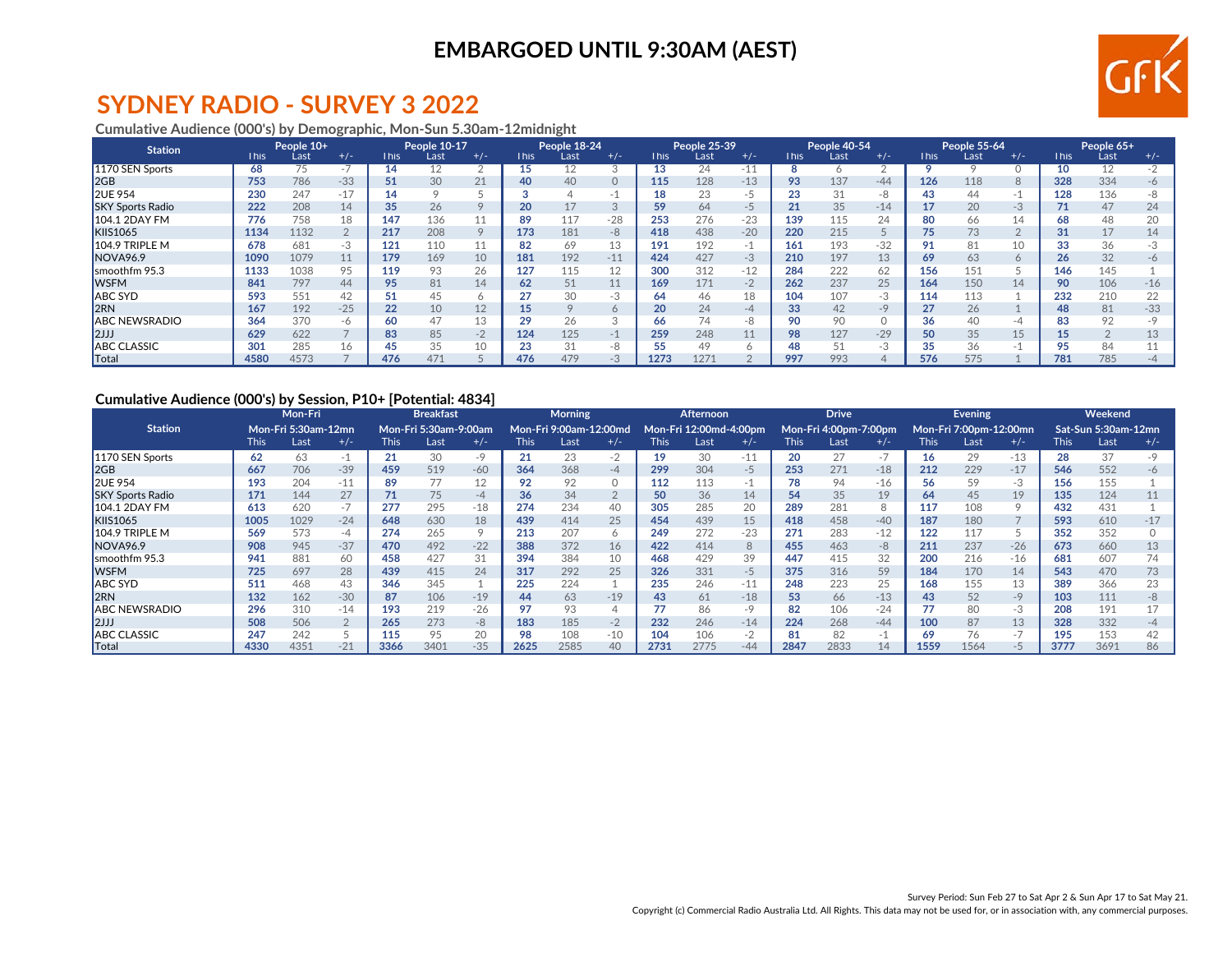

# **SYDNEY RADIO - SURVEY 3 2022**

#### **Cumulative Audience (000's) by Demographic, Mon-Sun 5.30am-12midnight**

| <b>Station</b>          |             | People 10+ |                          |             | People 10-17 |       |             | People 18-24 |         |             | People 25-39     |              |             | People 40-54 |       |             | People 55-64 |                      |      | People 65+     |           |
|-------------------------|-------------|------------|--------------------------|-------------|--------------|-------|-------------|--------------|---------|-------------|------------------|--------------|-------------|--------------|-------|-------------|--------------|----------------------|------|----------------|-----------|
|                         | <b>This</b> | Last       | $+/-$                    | <b>This</b> | Last         | $+/-$ | <b>This</b> | Last         | $+/-$   | <b>This</b> | Last             | $+/-$        | <b>This</b> | Last         | $+/-$ | <b>This</b> | Last         | $+/-$                | This | Last           | $+/-$     |
| 1170 SEN Sports         | 68          | 75         | $\overline{\phantom{a}}$ | 14          |              |       | 15          |              | 3       | 13          | 24               | -11          |             |              |       |             |              |                      | 10   | 12             |           |
| 2GB                     | 753         | 786        | $-33$                    |             | 30           | 21    | 40          | 40           | $\circ$ | 115         | 128              | $-13$        | 93          | 137          | $-44$ | 126         | 118          | 8                    | 328  | 334            | $-6$      |
| <b>2UE 954</b>          | 230         | 247        | $-17$                    | 14          |              |       |             |              | - 1     |             | 23               | -5           | 23          | 31           | -8    | 43          | 44           | -1                   | 128  | 136            | -8        |
| <b>SKY Sports Radio</b> | 222         | 208        | 14                       | 35          | 26           |       | 20          |              | 3       | 59          | 64               | -5           | 21          | 35           | $-14$ |             | 20           | $-3$                 | 71   | 47             | 24        |
| <b>104.1 2DAY FM</b>    | 776         | 758        | 18                       | 147         | 136          |       | 89          | 117          | $-28$   | 253         | 276              | $-23$        | 139         | 115          |       | 80          | 66           | 14                   | οŏ   | 48             | 20        |
| <b>KIIS1065</b>         | 1134        | 1132       |                          | 217         | 208          |       | 173         | 181          | $-8$    | 418         | 438              | $-20$        | 220         | 215          |       | 75          | 73           | $\Omega$<br>$\angle$ | 31   | 17             | 14        |
| 104.9 TRIPLE M          | 678         | 681        | -3                       | 121         | 110          |       | 82          | 69           | 13      | 191         | 192              | -1           | 161         | 193          | $-32$ | 91          | 81           | 10                   |      | 36             | -3        |
| NOVA96.9                | 1090        | 1079       | 11                       | 179         | 169          | 10    | 181         | 192          | $-11$   | 424         | 427              | $-3$         | 210         | 197          | 13    | 69          | 63           | 6                    | 26   | 32             | $-6$      |
| smoothfm 95.3           | 1133        | 1038       | 95                       | 119         | 93           | 26    | 127         | 115          | 12      | 300         | 312              | $-12$        | 284         | 222          | 62    | 156         | 151          |                      | 146  | 145            |           |
| <b>WSFM</b>             | 841         | 797        | 44                       | 95          | 81           | 14    | 62          | 51           | 11      | 169         | 171              | $-2$         | 262         | 237          | 25    | 164         | 150          | 14                   | 90   | 106            | $-16$     |
| <b>ABC SYD</b>          | 593         | 551        | 42                       |             | 45           |       |             | 30           | -3      | 64          | 46               | 18           | 104         | 107          | -3    | 114         | 113          |                      | 232  | 210            | 22        |
| <b>2RN</b>              | 167         | 192        | $-25$                    | 22          | 10           | 12    | 15          |              | 6       | 20          | 24               | $-4$         | 33          | 42           | $-9$  | 27          | 26           |                      | 48   | 81             | $-33$     |
| <b>ABC NEWSRADIO</b>    | 364         | 370        | -6                       | 60          | 47           | 13    | 29          | 26           | 3       | 66          | 74               | $-8$         | 90          | 90           |       | 36          |              | -4                   |      | 92             | -9        |
| 2JJ                     | 629         | 622        |                          | 83          | 85           | $-2$  | 124         | 125          | $-1$    | 259         | 248              | 11           | 98          | 127          | $-29$ | 50          | 35           | 15                   |      | $\overline{2}$ | 13        |
| <b>ABC CLASSIC</b>      | 301         | 285        | 16                       | 45          | 35           | 10    | 23          |              | -8      |             | 49               | <sup>n</sup> | 48          | 51           | -3    | 35          | 36           | -1                   |      | 84             |           |
| <b>Total</b>            | 4580        | 4573       |                          | 476         | 471          |       | 476         | 479          | $-3$    | 1273        | 127 <sup>2</sup> |              | 997         | 993          |       | 576         | 575          |                      | 781  | 785            | $-\Delta$ |

#### **Cumulative Audience (000's) by Session, P10+ [Potential: 4834]**

|                         |             | Mon-Fri<br>Mon-Fri 5:30am-12mn |       |             | <b>Breakfast</b>             |       |      | <b>Morning</b>         |         |             | Afternoon.             |       |             | <b>Drive</b>          |       |             | <b>Evening</b>         |         |             | Weekend             |       |
|-------------------------|-------------|--------------------------------|-------|-------------|------------------------------|-------|------|------------------------|---------|-------------|------------------------|-------|-------------|-----------------------|-------|-------------|------------------------|---------|-------------|---------------------|-------|
| <b>Station</b>          |             |                                |       |             | <b>Mon-Fri 5:30am-9:00am</b> |       |      | Mon-Fri 9:00am-12:00md |         |             | Mon-Fri 12:00md-4:00pm |       |             | Mon-Fri 4:00pm-7:00pm |       |             | Mon-Fri 7:00pm-12:00mn |         |             | Sat-Sun 5:30am-12mn |       |
|                         | <b>This</b> | Last                           | $+/-$ | <b>This</b> | Last                         | $+/-$ | This | Last                   | $+/-$   | <b>This</b> | Last                   | $+/-$ | <b>This</b> | Last                  | $+/-$ | <b>This</b> | Last                   | $+/-$   | <b>This</b> | Last                | $+/-$ |
| 1170 SEN Sports         | 62          | 63                             |       | 21          | 30                           | -9    | 21   | 23                     | $-2$    | 19          | 30                     | $-11$ | 20          | 27                    | $-1$  | 16          | 29                     | $-13$   | 28          | 37                  |       |
| 2GB                     | 667         | 706                            | $-39$ | 459         | 519                          | $-60$ | 364  | 368                    | $-4$    | 299         | 304                    | $-5$  | 253         | 271                   | $-18$ | 212         | 229                    | $-17$   | 546         | 552                 | -6    |
| <b>2UE 954</b>          | 193         | 204                            | $-11$ | 89          |                              | 12    | 92   | 92                     | $\circ$ | 112         | 113                    | -1.   | 78          | 94                    | $-16$ | 56          | 59                     | -3      | 156         | 155                 |       |
| <b>SKY Sports Radio</b> | 171         | 144                            | 27    | 71          | 75                           | $-4$  | 36   | 34                     | 2       | 50          | 36                     | 14    | 54          | 35                    | 19    | 64          | 45                     | 19      | 135         | 124                 |       |
| 104.1 2DAY FM           | 613         | 620                            | $-1$  | 277         | 295                          | $-18$ | 274  | 234                    | 40      | 305         | 285                    | 20    | 289         | 281                   | 8     | 117         | 108                    | $\circ$ | 432         | 431                 |       |
| <b>KIIS1065</b>         | 1005        | 1029                           | $-24$ | 648         | 630                          | 18    | 439  | 414                    | 25      | 454         | 439                    | 15    | 418         | 458                   | $-40$ | 187         | 180                    |         | 593         | 610                 | $-17$ |
| $104.9$ TRIPLE M        | 569         | 573                            | -4    | 274         | 265                          |       | 213  | 207                    | 6       | 249         | 272                    | $-23$ | 271         | 283                   | $-12$ | 122         | 117                    |         | 352         | 352                 |       |
| NOVA <sub>96.9</sub>    | 908         | 945                            | $-37$ | 470         | 492                          | $-22$ | 388  | 372                    | 16      | 422         | 414                    | 8     | 455         | 463                   | -8    | 211         | 237                    | $-26$   | 673         | 660                 | 13    |
| smoothfm 95.3           | 941         | 881                            | 60    | 458         | 427                          | 31    | 394  | 384                    | 10      | 468         | 429                    | 39    | 447         | 415                   | 32    | 200         | 216                    | $-16$   | 681         | 607                 | 74    |
| <b>WSFM</b>             | 725         | 697                            | 28    | 439         | 415                          | 24    | 317  | 292                    | 25      | 326         | 331                    | $-5$  | 375         | 316                   | 59    | 184         | 170                    | 14      | 543         | 470                 | 73    |
| <b>ABC SYD</b>          | 511         | 468                            | 43    | 346         | 345                          |       | 225  | 224                    |         | 235         | 246                    | $-11$ | 248         | 223                   | 25    | 168         | 155                    | 13      | 389         | 366                 | 23    |
| 2RN                     | 132         | 162                            | $-30$ | 87          | 106                          | $-19$ | 44   | 63                     | $-19$   | 43          | 61                     | $-18$ | 53          | 66                    | $-13$ | 43          | 52                     | $-9$    | 103         | 111                 | $-R$  |
| <b>ABC NEWSRADIO</b>    | 296         | 310                            | $-14$ | 193         | 219                          | $-26$ |      |                        | 4       |             | 86                     | $-9$  | 82          | 106                   | $-24$ |             |                        | $-3$    | 208         | 191                 |       |
| 2JJ                     | 508         | 506                            |       | 265         | 273                          | -8    | 183  | 185                    | $-2$    | 232         | 246                    | $-14$ | 224         | 268                   | $-44$ | 100         | 87                     | 13      | 328         | 332                 | -4    |
| <b>ABC CLASSIC</b>      | 247         | 242                            |       | 115         | 95                           | 20    | 98   | 108                    | $-10$   | 104         | 106                    | $-2$  | 81          | 82                    | ÷Т.   | 69          |                        | $-7$    | 195         | 153                 | 42    |
| Total                   | 4330        | 4351                           |       | 3366        | 3401                         | $-35$ | 2625 | 2585                   | 40      | 2731        | 2775                   | $-44$ | 2847        | 2833                  | 14    | 1559        | 1564                   | -5      | 3777        | 3691                | 86    |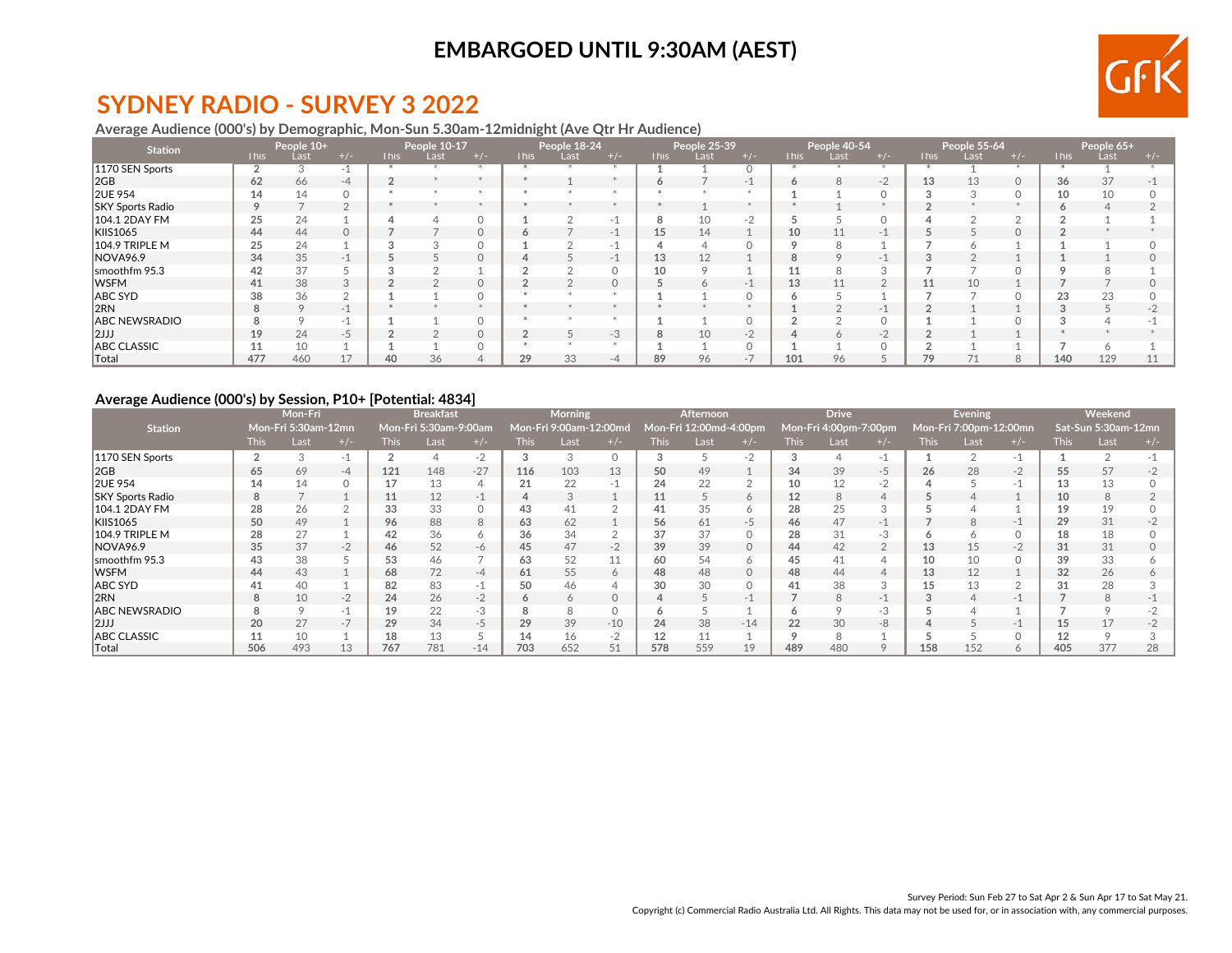

# **SYDNEY RADIO - SURVEY 3 2022**

#### **Average Audience (000's) by Demographic, Mon-Sun 5.30am-12midnight (Ave Qtr Hr Audience)**

| <b>Station</b>          |             | People 10+ |          |             | People 10-17 |       |             | People 18-24 |         |             | People 25-39 |                          |             | People 40-54 |       |             | People 55-64 |       |      | People 65+ |       |
|-------------------------|-------------|------------|----------|-------------|--------------|-------|-------------|--------------|---------|-------------|--------------|--------------------------|-------------|--------------|-------|-------------|--------------|-------|------|------------|-------|
|                         | <b>This</b> | Last       | $+/-$    | <b>This</b> | Last         | $+/-$ | <b>This</b> | Last         | $+/-$   | <b>This</b> | Last         | $+/-$                    | <b>This</b> | Last         | $+/-$ | <b>This</b> | Last         | $+/-$ | This | Last       | $+/-$ |
| 1170 SEN Sports         |             | 3          | -1       |             |              |       |             |              |         |             |              |                          |             |              |       |             |              |       |      |            |       |
| 2GB                     | 62          | 66         | $-4$     |             |              |       |             |              |         | $\circ$     |              | $-$                      | 6           | 8            | $-2$  | 13          | 13           | 0     | 36   | 37         |       |
| <b>2UE 954</b>          | 14          | 14         |          |             |              |       |             |              |         |             |              |                          |             |              |       |             |              |       | 10   | 10         |       |
| <b>SKY Sports Radio</b> | $\circ$     |            | $\sim$   |             |              |       |             |              | $*$     |             |              |                          |             |              |       |             |              |       |      |            |       |
| 104.1 2DAY FM           | 25          | 24         |          |             |              |       |             |              | -1      | 8           | 10           | $-2$                     |             |              |       |             |              |       |      |            |       |
| KIIS1065                | 44          | 44         | $\Omega$ |             |              |       |             |              | $-1$    | 15          | 14           |                          | 10          |              | $-1$  |             |              |       |      |            |       |
| 104.9 TRIPLE M          | 25          | 24         |          |             |              |       |             |              | -1      |             |              |                          | $\sim$      |              |       |             |              |       |      |            |       |
| NOVA96.9                | 34          | 35         | $-1$     |             |              |       |             |              | $-1$    | 13          | 12           |                          | 8           |              | $-1$  |             |              |       |      |            |       |
| smoothfm 95.3           | 42          | 37         |          |             |              |       |             |              | $\circ$ | 10          |              |                          |             |              |       |             |              |       |      |            |       |
| <b>WSFM</b>             | 41          | 38         |          |             |              |       |             |              | $\circ$ |             |              | $\overline{\phantom{a}}$ | 13          |              |       | 11          |              |       |      |            |       |
| ABC SYD                 | 38          | 36         |          |             |              |       |             |              |         |             |              |                          |             |              |       |             |              |       | 23   | 23         |       |
| 2RN                     | 8           | 9          | $-1$     |             |              |       |             |              |         |             |              |                          |             |              | $-$   |             |              |       |      |            |       |
| <b>ABC NEWSRADIO</b>    | 8           |            | $-1$     |             |              |       |             |              |         |             |              |                          |             |              |       |             |              |       |      |            |       |
| 2JJJ                    | 19          | 24         | $-5$     |             |              |       |             |              | $-3$    | 8           | 10           | $-2$                     | 4           |              | $-2$  |             |              |       |      |            |       |
| <b>ABC CLASSIC</b>      |             | 10         |          |             |              |       |             |              |         |             |              |                          |             |              |       |             |              |       |      |            |       |
| ∥Total                  | 477         | 460        |          | 40          | 36           |       | 29          | 33           | $-4$    | 89          | 96           |                          | 101         | 96           |       | 79          |              |       | 140  | 129        |       |

#### **Average Audience (000's) by Session, P10+ [Potential: 4834]**

|                         |             | Mon-Fri<br>Mon-Fri 5:30am-12mn |       |             | <b>Breakfast</b>      |       |             | <b>Morning</b>         |                |             | <b>Afternoon</b>       |              |             | <b>Drive</b>          |       |             | <b>Evening</b>         |         |             | Weekend             |       |
|-------------------------|-------------|--------------------------------|-------|-------------|-----------------------|-------|-------------|------------------------|----------------|-------------|------------------------|--------------|-------------|-----------------------|-------|-------------|------------------------|---------|-------------|---------------------|-------|
| <b>Station</b>          |             |                                |       |             | Mon-Fri 5:30am-9:00am |       |             | Mon-Fri 9:00am-12:00md |                |             | Mon-Fri 12:00md-4:00pm |              |             | Mon-Fri 4:00pm-7:00pm |       |             | Mon-Fri 7:00pm-12:00mn |         |             | Sat-Sun 5:30am-12mn |       |
|                         | <b>This</b> | Last                           | $+/-$ | <b>This</b> | Last                  | $+/-$ | <b>This</b> | Last                   | $+/-$          | <b>This</b> | Last                   | $+/-$        | <b>This</b> | Last                  | $+/-$ | <b>This</b> | Last                   | $+/-$   | <b>This</b> | Last                | $+/-$ |
| 1170 SEN Sports         | 2           | 3                              | $-1$  |             |                       | $-2$  | 3           |                        | $\circ$        | 3           |                        | $-2$         |             |                       | - 1   |             |                        | -1      |             |                     |       |
| 2GB                     | 65          | 69                             | $-4$  | 121         | 148                   | $-27$ | 116         | 103                    | 13             | 50          | 49                     |              | 34          | 39                    | -5    | 26          | 28                     | $-2$    | 55          | 57                  | $-2$  |
| <b>2UE 954</b>          | 14          | 14                             |       | 17          | 13                    |       | 21          | 22                     | -1             | 24          | 22                     |              | 10          | 12                    | $-2$  |             |                        | -1      |             | 13                  |       |
| <b>SKY Sports Radio</b> | 8           |                                |       | 11          | 12                    |       |             |                        |                | 11          |                        | $\circ$      | 12          | 8                     |       |             |                        |         | 10          | 8                   |       |
| 104.1 2DAY FM           | 28          | 26                             |       | 33          | 33                    |       | 43          | 41                     |                | 41          | 35                     | <sup>n</sup> | 28          | 25                    |       |             |                        |         | 19          | 19                  |       |
| <b>KIIS1065</b>         | 50          | 49                             |       | 96          | 88                    | 8     | 63          | 62                     |                | 56          | 61                     | -5           | 46          | 47                    | $-1$  |             | 8                      | $-1$    | 29          | 31                  |       |
| 104.9 TRIPLE M          | 28          | 27                             |       | 42          | 36                    | O.    | 36          | 34                     | $\overline{2}$ | 37          | 37                     |              | 28          | 31                    | -3    |             |                        | $\circ$ | 18          | 18                  |       |
| NOVA96.9                | 35          | 37                             | $-2$  | 46          | 52                    | $-6$  | 45          | 47                     | $-2$           | 39          | 39                     | $\Omega$     | 44          | 42                    |       | 13          | 15                     | $-2$    | 31          | 31                  |       |
| smoothfm 95.3           | 43          | 38                             |       | 53          | 46                    |       | 63          | 52                     | 11             | 60          | 54                     | <sup>n</sup> | 45          | 41                    |       | 10          |                        |         | 39          | 33                  |       |
| <b>IWSFM</b>            | 44          | 43                             |       | 68          | 72                    | -4    | 61          | 55                     | 6              | 48          | 48                     |              | 48          | 44                    |       | 13          |                        |         | 32          | 26                  |       |
| ABC SYD                 | 41          | 40                             |       | 82          | 83                    |       | 50          | 46                     | 4              | 30          | 30                     |              | 41          | 38                    |       | 15          |                        |         | 31          | 28                  |       |
| 2RN                     | 8           | 10                             | $-2$  | 24          | 26                    | $-2$  | 6           |                        | $\circ$        |             |                        |              |             | 8                     | $-1$  |             |                        | -1      |             | 8                   |       |
| <b>ABC NEWSRADIO</b>    |             | $\Omega$                       |       | 19          | 22                    | -3    |             |                        | $\circ$        |             |                        |              |             |                       | -3    |             |                        |         |             | $\circ$             |       |
| 2JJJ                    | 20          | 27                             | $-7$  | 29          | 34                    | -5    | 29          | 39                     | $-10$          | 24          | 38                     | $-14$        | 22          | 30                    | -8    |             |                        | $-1$    | 15          | 17                  |       |
| <b>ABC CLASSIC</b>      |             | 10                             |       | 18          | 13                    |       | 14          | 16                     | $-2$           | 12          | 11                     |              |             |                       |       |             |                        |         |             | $\circ$             |       |
| $\sf{Total}$            | 506         | 493                            | 13    | 767         | 781                   | $-14$ | 703         | 652                    | 51             | 578         | 559                    | 19           | 489         | 480                   |       | 158         | 152                    | 6       | 405         | 377                 | 28    |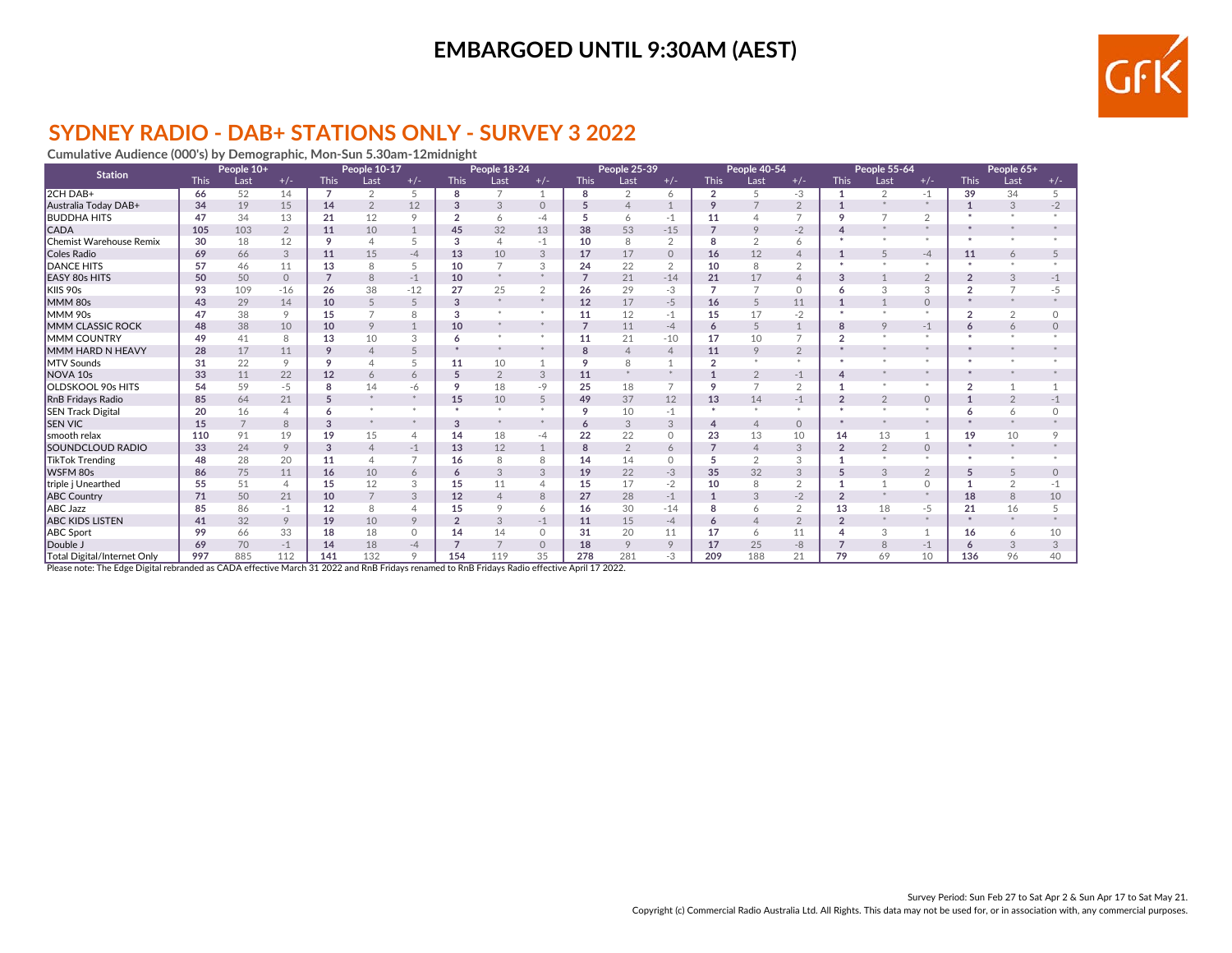

### **SYDNEY RADIO - DAB+ STATIONS ONLY - SURVEY 3 2022**

**Cumulative Audience (000's) by Demographic, Mon-Sun 5.30am-12midnight**

| <b>Station</b>              |             | People 10+     |                |                | People 10-17   |                |                | People 18-24   |                |                | People 25-39   |                |                | People 40-54   |                |                | People 55-64   |                |                | People 65+     |                 |
|-----------------------------|-------------|----------------|----------------|----------------|----------------|----------------|----------------|----------------|----------------|----------------|----------------|----------------|----------------|----------------|----------------|----------------|----------------|----------------|----------------|----------------|-----------------|
|                             | <b>This</b> | Last           | $+/-$          | <b>This</b>    | Last           | $+/-$          | <b>This</b>    | Last           | $+/-$          | <b>This</b>    | Last           | $+/-$          | <b>This</b>    | Last           | $+/-$          | <b>This</b>    | Last           | $+/-$          | <b>This</b>    | Last           | $+/-$           |
| 2CH DAB+                    | 66          | 52             | 14             | $\overline{7}$ | $\overline{2}$ | 5              | 8              | $\overline{ }$ | 1              | 8              | 2              | 6              | $\overline{2}$ | 5              | $-3$           |                | 2              | $-1$           | 39             | 34             | 5               |
| Australia Today DAB+        | 34          | 19             | 15             | 14             | $\overline{2}$ | 12             | 3              | 3              | $\Omega$       | 5              | $\overline{4}$ |                | 9              |                | $\overline{2}$ |                |                | $\star$        |                | 3              | $-2$            |
| <b>BUDDHA HITS</b>          | 47          | 34             | 13             | 21             | 12             | $\circ$        | $\mathfrak{p}$ | 6              | $-4$           | 5              | 6              | $-1$           | 11             |                | $\overline{z}$ |                |                | $\sim$         |                |                |                 |
| <b>CADA</b>                 | 105         | 103            | $\overline{2}$ | 11             | 10             |                | 45             | 32             | 13             | 38             | 53             | $-15$          | $\overline{7}$ | 9              | $-2$           |                |                | $*$            |                |                |                 |
| Chemist Warehouse Remix     | 30          | 18             | 12             | 9              | $\overline{4}$ |                | 3              |                | $-1$           | 10             | 8              | $\overline{2}$ | 8              | $\overline{2}$ | 6              |                |                | $\star$        |                |                |                 |
| Coles Radio                 | 69          | 66             | 3              | 11             | 15             | $-4$           | 13             | 10             | 3              | 17             | 17             | $\Omega$       | 16             | 12             | $\overline{4}$ |                |                | $-4$           | 11             | 6              |                 |
| <b>DANCE HITS</b>           | 57          | 46             | 11             | 13             | 8              |                | 10             |                | 3              | 24             | 22             | $\overline{2}$ | 10             | $\mathsf{R}$   | $\overline{2}$ |                |                | $\star$        |                |                |                 |
| <b>EASY 80s HITS</b>        | 50          | 50             | $\Omega$       | $\overline{7}$ | 8              | $-1$           | 10             |                | $\star$        | $\overline{ }$ | 21             | $-14$          | 21             | 17             | $\overline{4}$ |                |                | $\overline{2}$ |                | 3              |                 |
| KIIS 90s                    | 93          | 109            | $-16$          | 26             | 38             | $-12$          | 27             | 25             | 2              | 26             | 29             | $-3$           | $\overline{7}$ | $\overline{7}$ | $\circ$        |                |                | 3              | $\Omega$       | $\overline{7}$ |                 |
| MMM 80s                     | 43          | 29             | 14             | 10             | 5              | 5              | 3              |                | ×.             | 12             | 17             | $-5$           | 16             |                | 11             |                |                | $\circ$        |                |                |                 |
| <b>MMM 90s</b>              | 47          | 38             | 9              | 15             |                | 8              | 3              |                | $\star$        | 11             | 12             | $-1$           | 15             | 17             | $-2$           |                |                | $*$            | $\overline{2}$ | $\overline{2}$ | <sup>n</sup>    |
| MMM CLASSIC ROCK            | 48          | 38             | 10             | 10             | 9              |                | 10             |                | $*$            | 7              | 11             | $-4$           | 6              | $\overline{5}$ | $\overline{1}$ | 8              | $\circ$        | $-1$           |                | 6              |                 |
| <b>MMM COUNTRY</b>          | 49          | 41             | $\mathsf{R}$   | 13             | 10             | 3              | 6              |                |                | 11             | 21             | $-10$          | 17             | 10             | $\overline{7}$ | h              |                |                |                |                |                 |
| MMM HARD N HEAVY            | 28          | 17             | 11             | 9              | $\Delta$       |                |                |                |                | 8              | $\overline{4}$ | $\overline{4}$ | 11             | 9              | $\overline{2}$ |                |                |                |                |                |                 |
| <b>MTV Sounds</b>           | 31          | 22             | $\circ$        | $\circ$        | Δ              |                | 11             | 10             |                | 9              | 8              |                | $\overline{2}$ |                | $\star$        |                |                |                |                |                |                 |
| NOVA <sub>10s</sub>         | 33          | 11             | 22             | 12             | 6              | 6              | 5              | $\overline{2}$ | 3              | 11             |                |                |                | $\mathcal{P}$  | $-1$           | 4              |                | *              |                |                |                 |
| OLDSKOOL 90s HITS           | 54          | 59             | $-5$           | 8              | 14             | -6             | 9              | 18             | -9             | 25             | 18             | $\overline{7}$ | 9              |                | $\overline{2}$ |                |                |                | $\overline{2}$ |                |                 |
| <b>RnB Fridays Radio</b>    | 85          | 64             | 21             | 5              |                |                | 15             | 10             | 5              | 49             | 37             | 12             | 13             | 14             | $-1$           | $\overline{2}$ | $\overline{2}$ | $\circ$        |                | $\mathcal{P}$  |                 |
| <b>SEN Track Digital</b>    | 20          | 16             | $\overline{4}$ | 6              |                |                |                |                | $\star$        | 9              | 10             | $-1$           | $\ast$         |                | $\star$        |                |                | $\omega$       |                | $\overline{6}$ |                 |
| <b>SEN VIC</b>              | 15          | $\overline{7}$ | $\mathcal{B}$  | 3              |                |                | 3              |                | $\star$        | 6              | 3              | 3              | $\overline{4}$ | $\Delta$       | $\circ$        |                |                | $\star$        |                |                |                 |
| smooth relax                | 110         | 91             | 19             | 19             | 15             | 4              | 14             | 18             | -4             | 22             | 22             | $\circ$        | 23             | 13             | 10             | 14             | 13             | 1              | 19             | 10             |                 |
| <b>SOUNDCLOUD RADIO</b>     | 33          | 24             | 9              | 3              | $\overline{4}$ | $-1$           | 13             | 12             | $\mathbf{1}$   | 8              | $\overline{2}$ | 6              | $\overline{7}$ | $\overline{4}$ | 3              |                | $\overline{2}$ | $\circ$        |                | $\star$        |                 |
| <b>TikTok Trending</b>      | 48          | 28             | 20             | 11             | $\Delta$       | $\overline{ }$ | 16             | 8              | 8              | 14             | 14             | $\circ$        | 5              | $\overline{2}$ | 3              |                |                | $\star$        |                |                |                 |
| WSFM 80s                    | 86          | 75             | 11             | 16             | 10             | 6              | 6              | 3              | 3              | 19             | 22             | $-3$           | 35             | 32             | 3              |                | 3              | $\overline{2}$ | 5              | 5              | $\cap$          |
| triple j Unearthed          | 55          | 51             | $\overline{4}$ | 15             | 12             | 3              | 15             | 11             | $\overline{4}$ | 15             | 17             | $-2$           | 10             | 8              | $\overline{2}$ |                |                | $\circ$        |                | 2              |                 |
| <b>ABC Country</b>          | 71          | 50             | 21             | 10             | $\overline{7}$ | 3              | 12             |                | 8              | 27             | 28             | $-1$           |                | 3              | $-2$           | $\Omega$       |                | $*$            | 18             | 8              | 10 <sup>°</sup> |
| <b>ABC Jazz</b>             | 85          | 86             | $-1$           | 12             | 8              |                | 15             | $\circ$        | 6              | 16             | 30             | $-14$          | 8              |                | $\overline{2}$ | 13             | 18             | -5             | 21             | 16             |                 |
| <b>ABC KIDS LISTEN</b>      | 41          | 32             | 9              | 19             | 10             | $\circ$        |                | 3              | $-1$           | 11             | 15             | $-4$           | 6              |                | $\overline{2}$ |                |                | $\star$        |                |                |                 |
| <b>ABC</b> Sport            | 99          | 66             | 33             | 18             | 18             | $\Omega$       | 14             | 14             | $\circ$        | 31             | 20             | 11             | 17             | $\overline{6}$ | 11             |                | 3              | $\mathbf{1}$   | 16             | 6              | 10              |
| Double J                    | 69          | 70             | $-1$           | 14             | 18             | $-4$           |                |                | $\circ$        | 18             | 9              | 9              | 17             | 25             | $-8$           |                | 8              | $-1$           | 6              | 3              |                 |
| Total Digital/Internet Only | 997         | 885            | 112            | 141            | 132            | $\circ$        | 154            | 119            | 35             | 278            | 281            | -3             | 209            | 188            | 21             | 79             | 69             | 10             | 136            | 96             | 40              |

Please note: The Edge Digital rebranded as CADA effective March 31 2022 and RnB Fridays renamed to RnB Fridays Radio effective April 17 2022.